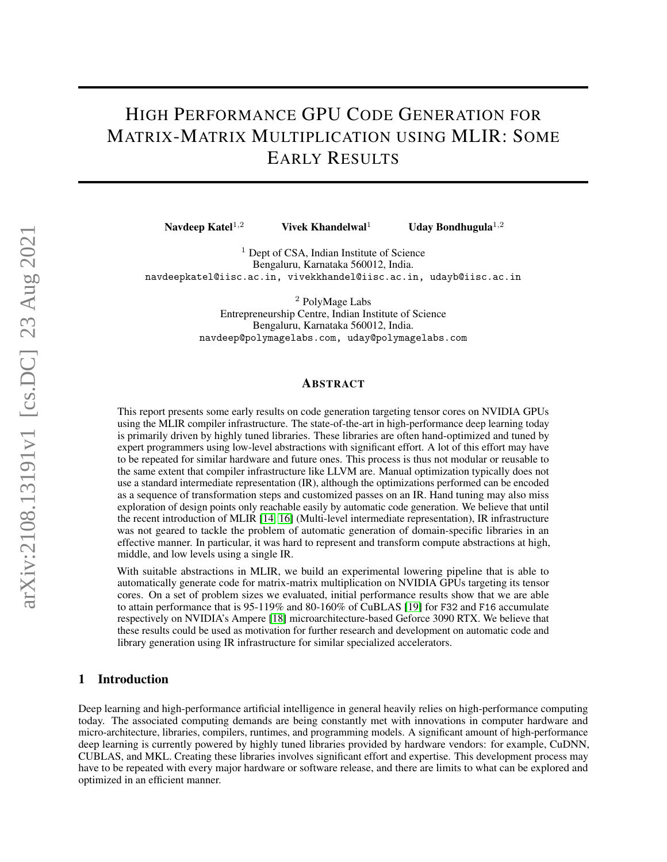# HIGH PERFORMANCE GPU CODE GENERATION FOR MATRIX-MATRIX MULTIPLICATION USING MLIR: SOME EARLY RESULTS

Navdeep Katel<sup>1,2</sup> Vivek Khandelwal<sup>1</sup> Uday Bondhugula<sup>1,2</sup>

<sup>1</sup> Dept of CSA, Indian Institute of Science Bengaluru, Karnataka 560012, India. navdeepkatel@iisc.ac.in, vivekkhandel@iisc.ac.in, udayb@iisc.ac.in

> <sup>2</sup> PolyMage Labs Entrepreneurship Centre, Indian Institute of Science Bengaluru, Karnataka 560012, India. navdeep@polymagelabs.com, uday@polymagelabs.com

#### ABSTRACT

This report presents some early results on code generation targeting tensor cores on NVIDIA GPUs using the MLIR compiler infrastructure. The state-of-the-art in high-performance deep learning today is primarily driven by highly tuned libraries. These libraries are often hand-optimized and tuned by expert programmers using low-level abstractions with significant effort. A lot of this effort may have to be repeated for similar hardware and future ones. This process is thus not modular or reusable to the same extent that compiler infrastructure like LLVM are. Manual optimization typically does not use a standard intermediate representation (IR), although the optimizations performed can be encoded as a sequence of transformation steps and customized passes on an IR. Hand tuning may also miss exploration of design points only reachable easily by automatic code generation. We believe that until the recent introduction of MLIR [\[14,](#page-14-0) [16\]](#page-15-0) (Multi-level intermediate representation), IR infrastructure was not geared to tackle the problem of automatic generation of domain-specific libraries in an effective manner. In particular, it was hard to represent and transform compute abstractions at high, middle, and low levels using a single IR.

With suitable abstractions in MLIR, we build an experimental lowering pipeline that is able to automatically generate code for matrix-matrix multiplication on NVIDIA GPUs targeting its tensor cores. On a set of problem sizes we evaluated, initial performance results show that we are able to attain performance that is 95-119% and 80-160% of CuBLAS [\[19\]](#page-15-1) for F32 and F16 accumulate respectively on NVIDIA's Ampere [\[18\]](#page-15-2) microarchitecture-based Geforce 3090 RTX. We believe that these results could be used as motivation for further research and development on automatic code and library generation using IR infrastructure for similar specialized accelerators.

## 1 Introduction

Deep learning and high-performance artificial intelligence in general heavily relies on high-performance computing today. The associated computing demands are being constantly met with innovations in computer hardware and micro-architecture, libraries, compilers, runtimes, and programming models. A significant amount of high-performance deep learning is currently powered by highly tuned libraries provided by hardware vendors: for example, CuDNN, CUBLAS, and MKL. Creating these libraries involves significant effort and expertise. This development process may have to be repeated with every major hardware or software release, and there are limits to what can be explored and optimized in an efficient manner.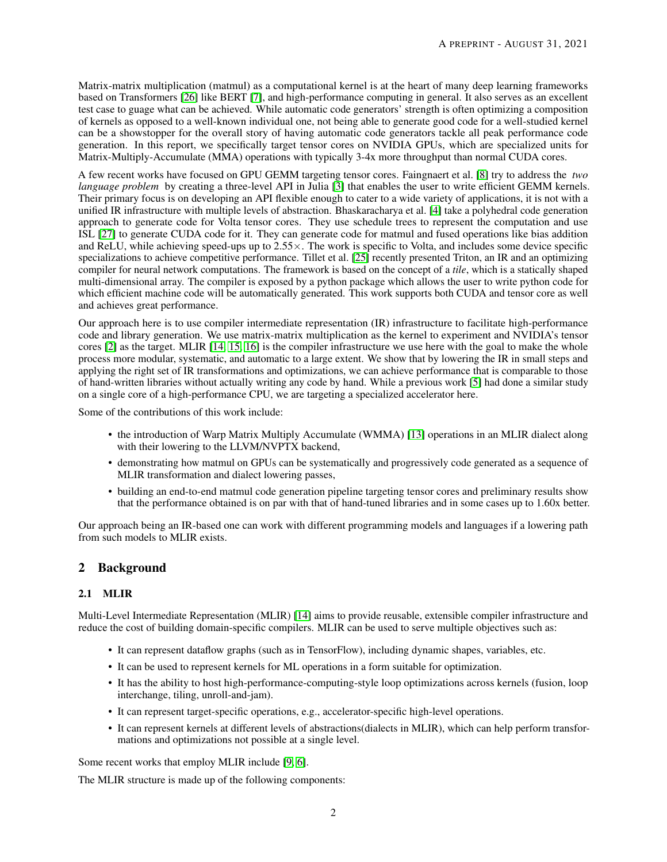Matrix-matrix multiplication (matmul) as a computational kernel is at the heart of many deep learning frameworks based on Transformers [\[26\]](#page-15-3) like BERT [\[7\]](#page-14-1), and high-performance computing in general. It also serves as an excellent test case to guage what can be achieved. While automatic code generators' strength is often optimizing a composition of kernels as opposed to a well-known individual one, not being able to generate good code for a well-studied kernel can be a showstopper for the overall story of having automatic code generators tackle all peak performance code generation. In this report, we specifically target tensor cores on NVIDIA GPUs, which are specialized units for Matrix-Multiply-Accumulate (MMA) operations with typically 3-4x more throughput than normal CUDA cores.

A few recent works have focused on GPU GEMM targeting tensor cores. Faingnaert et al. [\[8\]](#page-14-2) try to address the *two language problem* by creating a three-level API in Julia [\[3\]](#page-13-0) that enables the user to write efficient GEMM kernels. Their primary focus is on developing an API flexible enough to cater to a wide variety of applications, it is not with a unified IR infrastructure with multiple levels of abstraction. Bhaskaracharya et al. [\[4\]](#page-14-3) take a polyhedral code generation approach to generate code for Volta tensor cores. They use schedule trees to represent the computation and use ISL [\[27\]](#page-15-4) to generate CUDA code for it. They can generate code for matmul and fused operations like bias addition and ReLU, while achieving speed-ups up to 2.55×. The work is specific to Volta, and includes some device specific specializations to achieve competitive performance. Tillet et al. [\[25\]](#page-15-5) recently presented Triton, an IR and an optimizing compiler for neural network computations. The framework is based on the concept of a *tile*, which is a statically shaped multi-dimensional array. The compiler is exposed by a python package which allows the user to write python code for which efficient machine code will be automatically generated. This work supports both CUDA and tensor core as well and achieves great performance.

Our approach here is to use compiler intermediate representation (IR) infrastructure to facilitate high-performance code and library generation. We use matrix-matrix multiplication as the kernel to experiment and NVIDIA's tensor cores [\[2\]](#page-13-1) as the target. MLIR [\[14,](#page-14-0) [15,](#page-14-4) [16\]](#page-15-0) is the compiler infrastructure we use here with the goal to make the whole process more modular, systematic, and automatic to a large extent. We show that by lowering the IR in small steps and applying the right set of IR transformations and optimizations, we can achieve performance that is comparable to those of hand-written libraries without actually writing any code by hand. While a previous work [\[5\]](#page-14-5) had done a similar study on a single core of a high-performance CPU, we are targeting a specialized accelerator here.

Some of the contributions of this work include:

- the introduction of Warp Matrix Multiply Accumulate (WMMA) [\[13\]](#page-14-6) operations in an MLIR dialect along with their lowering to the LLVM/NVPTX backend,
- demonstrating how matmul on GPUs can be systematically and progressively code generated as a sequence of MLIR transformation and dialect lowering passes,
- building an end-to-end matmul code generation pipeline targeting tensor cores and preliminary results show that the performance obtained is on par with that of hand-tuned libraries and in some cases up to 1.60x better.

Our approach being an IR-based one can work with different programming models and languages if a lowering path from such models to MLIR exists.

# 2 Background

## 2.1 MLIR

Multi-Level Intermediate Representation (MLIR) [\[14\]](#page-14-0) aims to provide reusable, extensible compiler infrastructure and reduce the cost of building domain-specific compilers. MLIR can be used to serve multiple objectives such as:

- It can represent dataflow graphs (such as in TensorFlow), including dynamic shapes, variables, etc.
- It can be used to represent kernels for ML operations in a form suitable for optimization.
- It has the ability to host high-performance-computing-style loop optimizations across kernels (fusion, loop interchange, tiling, unroll-and-jam).
- It can represent target-specific operations, e.g., accelerator-specific high-level operations.
- It can represent kernels at different levels of abstractions(dialects in MLIR), which can help perform transformations and optimizations not possible at a single level.

Some recent works that employ MLIR include [\[9,](#page-14-7) [6\]](#page-14-8).

The MLIR structure is made up of the following components: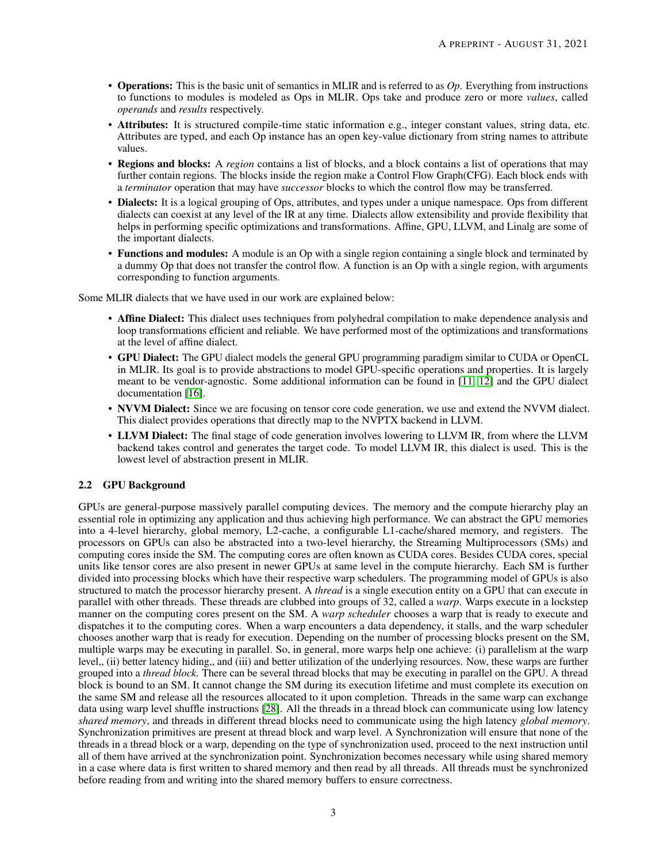- Operations: This is the basic unit of semantics in MLIR and is referred to as *Op*. Everything from instructions to functions to modules is modeled as Ops in MLIR. Ops take and produce zero or more *values*, called *operands* and *results* respectively.
- Attributes: It is structured compile-time static information e.g., integer constant values, string data, etc. Attributes are typed, and each Op instance has an open key-value dictionary from string names to attribute values.
- Regions and blocks: A *region* contains a list of blocks, and a block contains a list of operations that may further contain regions. The blocks inside the region make a Control Flow Graph(CFG). Each block ends with a *terminator* operation that may have *successor* blocks to which the control flow may be transferred.
- Dialects: It is a logical grouping of Ops, attributes, and types under a unique namespace. Ops from different dialects can coexist at any level of the IR at any time. Dialects allow extensibility and provide flexibility that helps in performing specific optimizations and transformations. Affine, GPU, LLVM, and Linalg are some of the important dialects.
- Functions and modules: A module is an Op with a single region containing a single block and terminated by a dummy Op that does not transfer the control flow. A function is an Op with a single region, with arguments corresponding to function arguments.

Some MLIR dialects that we have used in our work are explained below:

- Affine Dialect: This dialect uses techniques from polyhedral compilation to make dependence analysis and loop transformations efficient and reliable. We have performed most of the optimizations and transformations at the level of affine dialect.
- GPU Dialect: The GPU dialect models the general GPU programming paradigm similar to CUDA or OpenCL in MLIR. Its goal is to provide abstractions to model GPU-specific operations and properties. It is largely meant to be vendor-agnostic. Some additional information can be found in [\[11,](#page-14-9) [12\]](#page-14-10) and the GPU dialect documentation [\[16\]](#page-15-0).
- NVVM Dialect: Since we are focusing on tensor core code generation, we use and extend the NVVM dialect. This dialect provides operations that directly map to the NVPTX backend in LLVM.
- LLVM Dialect: The final stage of code generation involves lowering to LLVM IR, from where the LLVM backend takes control and generates the target code. To model LLVM IR, this dialect is used. This is the lowest level of abstraction present in MLIR.

## 2.2 GPU Background

GPUs are general-purpose massively parallel computing devices. The memory and the compute hierarchy play an essential role in optimizing any application and thus achieving high performance. We can abstract the GPU memories into a 4-level hierarchy, global memory, L2-cache, a configurable L1-cache/shared memory, and registers. The processors on GPUs can also be abstracted into a two-level hierarchy, the Streaming Multiprocessors (SMs) and computing cores inside the SM. The computing cores are often known as CUDA cores. Besides CUDA cores, special units like tensor cores are also present in newer GPUs at same level in the compute hierarchy. Each SM is further divided into processing blocks which have their respective warp schedulers. The programming model of GPUs is also structured to match the processor hierarchy present. A *thread* is a single execution entity on a GPU that can execute in parallel with other threads. These threads are clubbed into groups of 32, called a *warp*. Warps execute in a lockstep manner on the computing cores present on the SM. A *warp scheduler* chooses a warp that is ready to execute and dispatches it to the computing cores. When a warp encounters a data dependency, it stalls, and the warp scheduler chooses another warp that is ready for execution. Depending on the number of processing blocks present on the SM, multiple warps may be executing in parallel. So, in general, more warps help one achieve: (i) parallelism at the warp level,, (ii) better latency hiding,, and (iii) and better utilization of the underlying resources. Now, these warps are further grouped into a *thread block*. There can be several thread blocks that may be executing in parallel on the GPU. A thread block is bound to an SM. It cannot change the SM during its execution lifetime and must complete its execution on the same SM and release all the resources allocated to it upon completion. Threads in the same warp can exchange data using warp level shuffle instructions [\[28\]](#page-15-6). All the threads in a thread block can communicate using low latency *shared memory*, and threads in different thread blocks need to communicate using the high latency *global memory*. Synchronization primitives are present at thread block and warp level. A Synchronization will ensure that none of the threads in a thread block or a warp, depending on the type of synchronization used, proceed to the next instruction until all of them have arrived at the synchronization point. Synchronization becomes necessary while using shared memory in a case where data is first written to shared memory and then read by all threads. All threads must be synchronized before reading from and writing into the shared memory buffers to ensure correctness.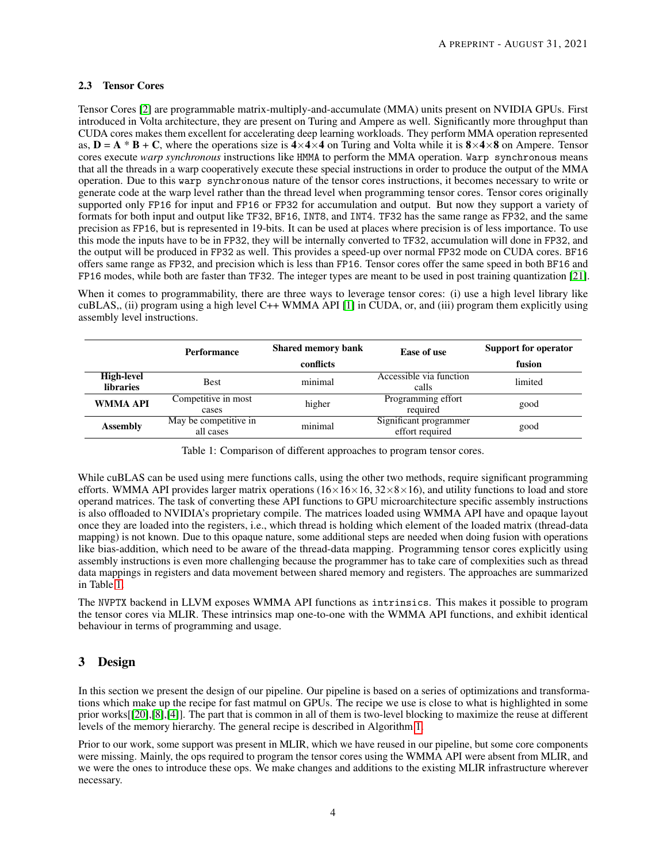## 2.3 Tensor Cores

Tensor Cores [\[2\]](#page-13-1) are programmable matrix-multiply-and-accumulate (MMA) units present on NVIDIA GPUs. First introduced in Volta architecture, they are present on Turing and Ampere as well. Significantly more throughput than CUDA cores makes them excellent for accelerating deep learning workloads. They perform MMA operation represented as,  $D = A * B + C$ , where the operations size is  $4 \times 4 \times 4$  on Turing and Volta while it is  $8 \times 4 \times 8$  on Ampere. Tensor cores execute *warp synchronous* instructions like HMMA to perform the MMA operation. Warp synchronous means that all the threads in a warp cooperatively execute these special instructions in order to produce the output of the MMA operation. Due to this warp synchronous nature of the tensor cores instructions, it becomes necessary to write or generate code at the warp level rather than the thread level when programming tensor cores. Tensor cores originally supported only FP16 for input and FP16 or FP32 for accumulation and output. But now they support a variety of formats for both input and output like TF32, BF16, INT8, and INT4. TF32 has the same range as FP32, and the same precision as FP16, but is represented in 19-bits. It can be used at places where precision is of less importance. To use this mode the inputs have to be in FP32, they will be internally converted to TF32, accumulation will done in FP32, and the output will be produced in FP32 as well. This provides a speed-up over normal FP32 mode on CUDA cores. BF16 offers same range as FP32, and precision which is less than FP16. Tensor cores offer the same speed in both BF16 and FP16 modes, while both are faster than TF32. The integer types are meant to be used in post training quantization [\[21\]](#page-15-7).

When it comes to programmability, there are three ways to leverage tensor cores: (i) use a high level library like cuBLAS,, (ii) program using a high level C++ WMMA API [\[1\]](#page-13-2) in CUDA, or, and (iii) program them explicitly using assembly level instructions.

|                                       | <b>Performance</b>                 | <b>Shared memory bank</b> | Ease of use                               | Support for operator |
|---------------------------------------|------------------------------------|---------------------------|-------------------------------------------|----------------------|
|                                       |                                    | conflicts                 |                                           | fusion               |
| <b>High-level</b><br><b>libraries</b> | <b>Best</b>                        | minimal                   | Accessible via function<br>calls          | limited              |
| WMMA API                              | Competitive in most<br>cases       | higher                    | Programming effort<br>required            | good                 |
| <b>Assembly</b>                       | May be competitive in<br>all cases | minimal                   | Significant programmer<br>effort required | good                 |

<span id="page-3-0"></span>Table 1: Comparison of different approaches to program tensor cores.

While cuBLAS can be used using mere functions calls, using the other two methods, require significant programming efforts. WMMA API provides larger matrix operations  $(16\times16\times16, 32\times8\times16)$ , and utility functions to load and store operand matrices. The task of converting these API functions to GPU microarchitecture specific assembly instructions is also offloaded to NVIDIA's proprietary compile. The matrices loaded using WMMA API have and opaque layout once they are loaded into the registers, i.e., which thread is holding which element of the loaded matrix (thread-data mapping) is not known. Due to this opaque nature, some additional steps are needed when doing fusion with operations like bias-addition, which need to be aware of the thread-data mapping. Programming tensor cores explicitly using assembly instructions is even more challenging because the programmer has to take care of complexities such as thread data mappings in registers and data movement between shared memory and registers. The approaches are summarized in Table [1.](#page-3-0)

The NVPTX backend in LLVM exposes WMMA API functions as intrinsics. This makes it possible to program the tensor cores via MLIR. These intrinsics map one-to-one with the WMMA API functions, and exhibit identical behaviour in terms of programming and usage.

# 3 Design

In this section we present the design of our pipeline. Our pipeline is based on a series of optimizations and transformations which make up the recipe for fast matmul on GPUs. The recipe we use is close to what is highlighted in some prior works[[\[20\]](#page-15-8),[\[8\]](#page-14-2),[\[4\]](#page-14-3)]. The part that is common in all of them is two-level blocking to maximize the reuse at different levels of the memory hierarchy. The general recipe is described in Algorithm [1.](#page-4-0)

Prior to our work, some support was present in MLIR, which we have reused in our pipeline, but some core components were missing. Mainly, the ops required to program the tensor cores using the WMMA API were absent from MLIR, and we were the ones to introduce these ops. We make changes and additions to the existing MLIR infrastructure wherever necessary.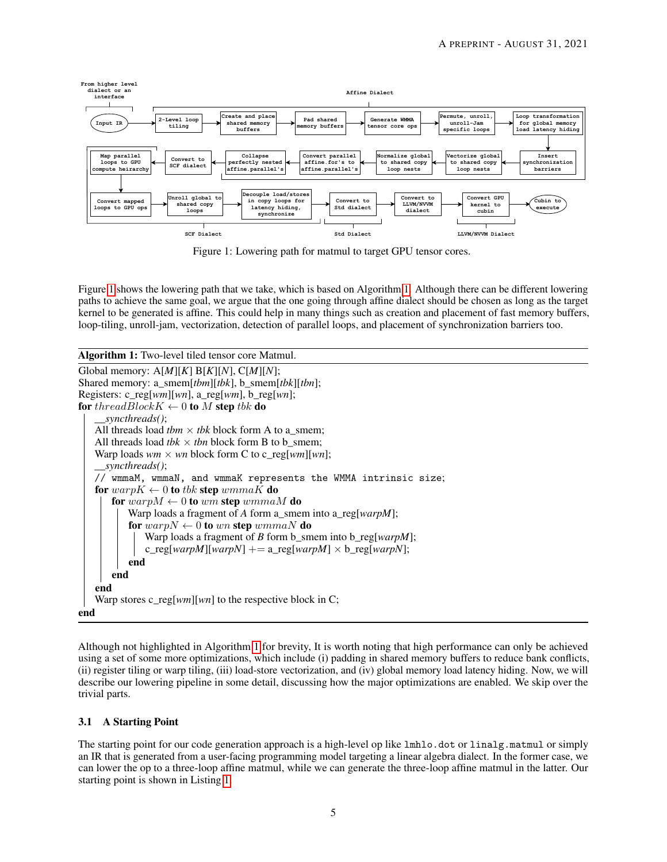<span id="page-4-1"></span>

Figure 1: Lowering path for matmul to target GPU tensor cores.

Figure [1](#page-4-1) shows the lowering path that we take, which is based on Algorithm [1.](#page-4-0) Although there can be different lowering paths to achieve the same goal, we argue that the one going through affine dialect should be chosen as long as the target kernel to be generated is affine. This could help in many things such as creation and placement of fast memory buffers, loop-tiling, unroll-jam, vectorization, detection of parallel loops, and placement of synchronization barriers too.

```
Algorithm 1: Two-level tiled tensor core Matmul.
Global memory: A[M][K] B[K][N], C[M][N];
Shared memory: a_smem[tbm][tbk], b_smem[tbk][tbn];
Registers: c_reg[wm][wn], a_reg[wm], b_reg[wn];
for threadBlockK \leftarrow 0 to M step tbk do
     __syncthreads();
   All threads load tbm \times tbk block form A to a_smem;
   All threads load tbk \times tbn block form B to b_smem;
   Warp loads wm \times wn block form C to c_reg[wm][wn];
   __syncthreads();
   // wmmaM, wmmaN, and wmmaK represents the WMMA intrinsic size;
   for warpK \leftarrow 0 to tbk step wmmaK do
       for warpM \leftarrow 0 to wm step wmmaM do
           Warp loads a fragment of A form a_smem into a_reg[warpM];
           for warpN \leftarrow 0 to wn step wmmaN do
              Warp loads a fragment of B form b smem into b reg[warpM];
              c_{\text{reg}[warpM][warpN]} += a_reg[warpM] × b_reg[warpN];
           end
       end
   end
   Warp stores c_reg[wm][wn] to the respective block in C;
end
```
<span id="page-4-0"></span>Although not highlighted in Algorithm [1](#page-4-0) for brevity, It is worth noting that high performance can only be achieved using a set of some more optimizations, which include (i) padding in shared memory buffers to reduce bank conflicts, (ii) register tiling or warp tiling, (iii) load-store vectorization, and (iv) global memory load latency hiding. Now, we will describe our lowering pipeline in some detail, discussing how the major optimizations are enabled. We skip over the trivial parts.

## 3.1 A Starting Point

The starting point for our code generation approach is a high-level op like lmhlo.dot or linalg.matmul or simply an IR that is generated from a user-facing programming model targeting a linear algebra dialect. In the former case, we can lower the op to a three-loop affine matmul, while we can generate the three-loop affine matmul in the latter. Our starting point is shown in Listing [1.](#page-5-0)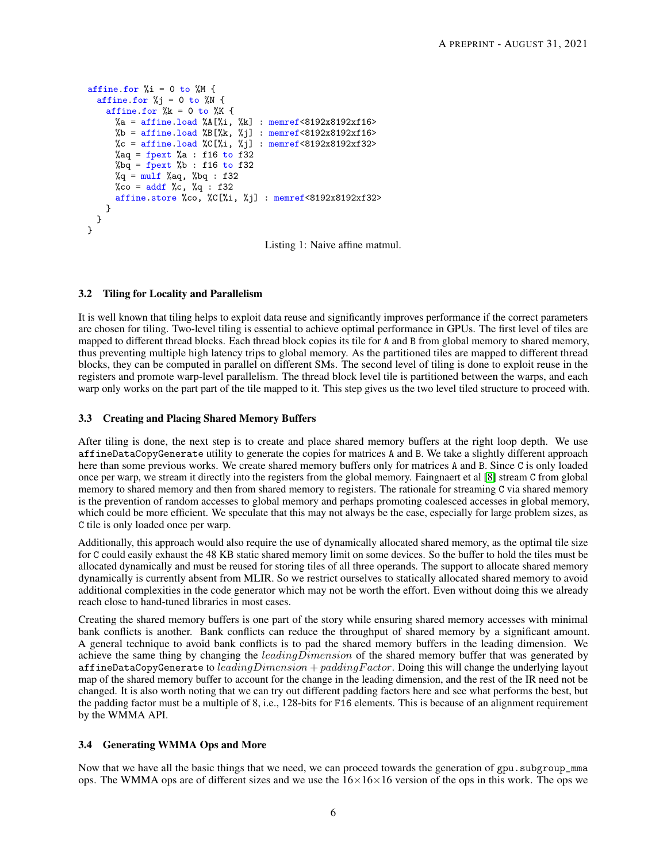```
affine.for \frac{9}{1} = 0 to \frac{9}{1} {
  affine.for \%j = 0 to \%N {
    affine.for \%k = 0 to \%K {
       %a = affine.load %A[%i, %k] : memref<8192x8192xf16>
       %b = affine.load %B[%k, %j] : memref<8192x8192xf16>
       \text{\%c = affine.load }\text{\%C}[\text{\%i}, \text{\%j}] : \text{member} < 8192x8192xf32%aq = fpext %a : f16 to f32
       %bq = fpext %b : f16 to f32
       \sqrt[6]{q} = mulf \sqrt[6]{aq}, \sqrt[6]{bq} : f32
      \sqrt[3]{c} = addf \sqrt[6]{c}, \sqrt[6]{q} : f32
       affine.store %co, %C[%i, %j] : memref<8192x8192xf32>
    }
 }
}
```
Listing 1: Naive affine matmul.

## 3.2 Tiling for Locality and Parallelism

It is well known that tiling helps to exploit data reuse and significantly improves performance if the correct parameters are chosen for tiling. Two-level tiling is essential to achieve optimal performance in GPUs. The first level of tiles are mapped to different thread blocks. Each thread block copies its tile for A and B from global memory to shared memory, thus preventing multiple high latency trips to global memory. As the partitioned tiles are mapped to different thread blocks, they can be computed in parallel on different SMs. The second level of tiling is done to exploit reuse in the registers and promote warp-level parallelism. The thread block level tile is partitioned between the warps, and each warp only works on the part part of the tile mapped to it. This step gives us the two level tiled structure to proceed with.

## 3.3 Creating and Placing Shared Memory Buffers

After tiling is done, the next step is to create and place shared memory buffers at the right loop depth. We use affineDataCopyGenerate utility to generate the copies for matrices A and B. We take a slightly different approach here than some previous works. We create shared memory buffers only for matrices A and B. Since C is only loaded once per warp, we stream it directly into the registers from the global memory. Faingnaert et al [\[8\]](#page-14-2) stream C from global memory to shared memory and then from shared memory to registers. The rationale for streaming C via shared memory is the prevention of random accesses to global memory and perhaps promoting coalesced accesses in global memory, which could be more efficient. We speculate that this may not always be the case, especially for large problem sizes, as C tile is only loaded once per warp.

Additionally, this approach would also require the use of dynamically allocated shared memory, as the optimal tile size for C could easily exhaust the 48 KB static shared memory limit on some devices. So the buffer to hold the tiles must be allocated dynamically and must be reused for storing tiles of all three operands. The support to allocate shared memory dynamically is currently absent from MLIR. So we restrict ourselves to statically allocated shared memory to avoid additional complexities in the code generator which may not be worth the effort. Even without doing this we already reach close to hand-tuned libraries in most cases.

Creating the shared memory buffers is one part of the story while ensuring shared memory accesses with minimal bank conflicts is another. Bank conflicts can reduce the throughput of shared memory by a significant amount. A general technique to avoid bank conflicts is to pad the shared memory buffers in the leading dimension. We achieve the same thing by changing the leadingDimension of the shared memory buffer that was generated by affineDataCopyGenerate to leadingDimension + paddingFactor. Doing this will change the underlying layout map of the shared memory buffer to account for the change in the leading dimension, and the rest of the IR need not be changed. It is also worth noting that we can try out different padding factors here and see what performs the best, but the padding factor must be a multiple of 8, i.e., 128-bits for F16 elements. This is because of an alignment requirement by the WMMA API.

## 3.4 Generating WMMA Ops and More

Now that we have all the basic things that we need, we can proceed towards the generation of gpu.subgroup\_mma ops. The WMMA ops are of different sizes and we use the  $16\times16\times16$  version of the ops in this work. The ops we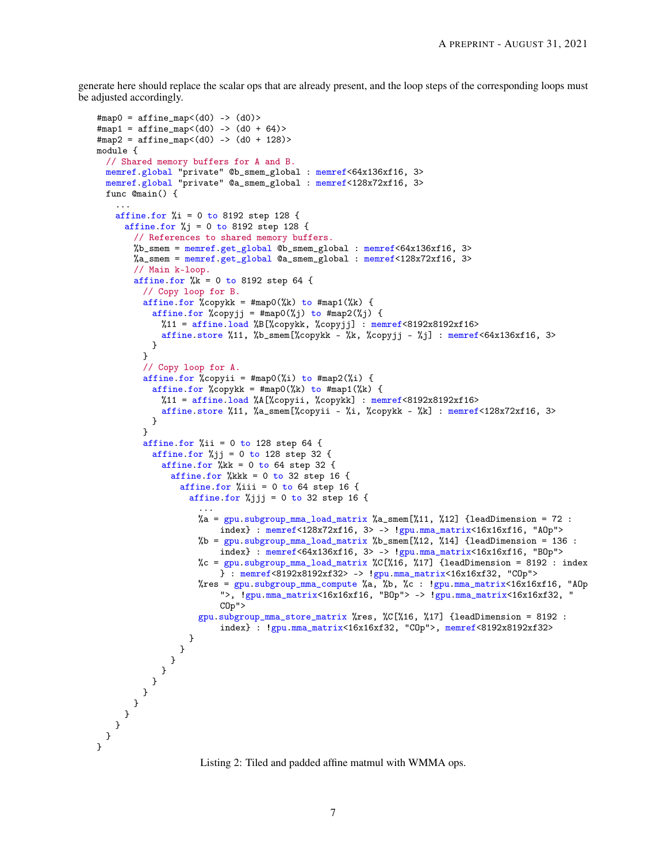generate here should replace the scalar ops that are already present, and the loop steps of the corresponding loops must be adjusted accordingly.

```
\text{\#map0} = \text{affine\_map}((d0) \rightarrow (d0)\text{#map1} = \text{affine\_map}((d0) \rightarrow (d0 + 64))\text{#map2} = \text{affine\_map}((d0) \rightarrow (d0 + 128))module {
  // Shared memory buffers for A and B.
 memref.global "private" @b_smem_global : memref<64x136xf16, 3>
 memref.global "private" @a_smem_global : memref<128x72xf16, 3>
 func @main() {
    ...
    affine.for \frac{6}{1} = 0 to 8192 step 128 {
      affine.for \frac{6}{3} = 0 to 8192 step 128 {
        // References to shared memory buffers.
        %b_smem = memref.get_global @b_smem_global : memref<64x136xf16, 3>
        %a_smem = memref.get_global @a_smem_global : memref<128x72xf16, 3>
        // Main k-loop.
        affine.for \frac{9}{16}k = 0 to 8192 step 64 {
          // Copy loop for B.
          affine.for %copykk = \text{#map0}(\%k) to \text{#map1}(\%k) {
           affine.for %copyjj = \text{#map0}(%j) to \text{#map2}(%j) {
             %11 = affine.load %B[%copykk, %copyjj] : memref<8192x8192xf16>
             affine.store %11, %b_smem[%copykk - %k, %copyjj - %j] : memref<64x136xf16, 3>
           }
          }
          // Copy loop for A.
          affine.for %copyii = \text{tmap0}(%i) to \text{tmap2}(%i) {
           affine.for %copykk = \text{map0}(%k) to \text{map1}(%k) {
             %11 = affine.load %A[%copyii, %copykk] : memref<8192x8192xf16>
             affine.store %11, %a_smem[%copyii - %i, %copykk - %k] : memref<128x72xf16, 3>
           }
          }
          affine.for %ii = 0 to 128 step 64 {
           affine.for \sqrt[6]{i} = 0 to 128 step 32 {
             affine.for %kk = 0 to 64 step 32 {
                affine.for %kkk = 0 to 32 step 16 {
                 affine.for \frac{6}{111} = 0 to 64 step 16 {
                    affine.for \chijjj = 0 to 32 step 16 {
                      ...
                     %a = gpu.subgroup_mma_load_matrix %a_smem[%11, %12] {leadDimension = 72 :
                          index} : memref<128x72xf16, 3> -> !gpu.mma_matrix<16x16xf16, "AOp">
                      %b = gpu.subgroup\_mma\_load\_matrix %b_smem[%12, %14] {leadDimension = 136 :
                          index} : memref<64x136xf16, 3> -> !gpu.mma_matrix<16x16xf16, "BOp">
                      %c = gpu.subgroup_mma_load_matrix %C[%16, %17] {leadDimension = 8192 : index
                          } : memref<8192x8192xf32> -> !gpu.mma_matrix<16x16xf32, "COp">
                      %res = gpu.subgroup_mma_compute %a, %b, %c : !gpu.mma_matrix<16x16xf16, "AOp
                          ">, !gpu.mma_matrix<16x16xf16, "BOp"> -> !gpu.mma_matrix<16x16xf32, "
                          COp">
                      gpu.subgroup_mma_store_matrix %res, %C[%16, %17] {leadDimension = 8192 :
                          index} : !gpu.mma_matrix<16x16xf32, "COp">, memref<8192x8192xf32>
                   }
                 }
              }
              }
            }
          }
        }
      }
    }
  }
}
```
Listing 2: Tiled and padded affine matmul with WMMA ops.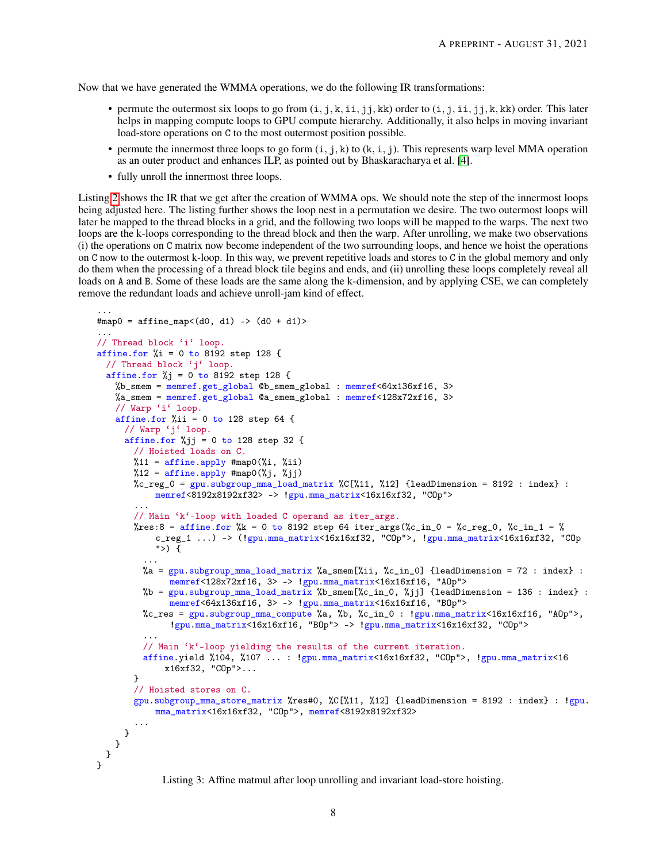Now that we have generated the WMMA operations, we do the following IR transformations:

- permute the outermost six loops to go from  $(i, j, k, i, j, k)$  order to  $(i, j, i, j, k, kk)$  order. This later helps in mapping compute loops to GPU compute hierarchy. Additionally, it also helps in moving invariant load-store operations on C to the most outermost position possible.
- permute the innermost three loops to go form  $(i, j, k)$  to  $(k, i, j)$ . This represents warp level MMA operation as an outer product and enhances ILP, as pointed out by Bhaskaracharya et al. [\[4\]](#page-14-3).
- fully unroll the innermost three loops.

Listing [2](#page-6-0) shows the IR that we get after the creation of WMMA ops. We should note the step of the innermost loops being adjusted here. The listing further shows the loop nest in a permutation we desire. The two outermost loops will later be mapped to the thread blocks in a grid, and the following two loops will be mapped to the warps. The next two loops are the k-loops corresponding to the thread block and then the warp. After unrolling, we make two observations (i) the operations on C matrix now become independent of the two surrounding loops, and hence we hoist the operations on C now to the outermost k-loop. In this way, we prevent repetitive loads and stores to C in the global memory and only do them when the processing of a thread block tile begins and ends, and (ii) unrolling these loops completely reveal all loads on A and B. Some of these loads are the same along the k-dimension, and by applying CSE, we can completely remove the redundant loads and achieve unroll-jam kind of effect.

```
...
\#map0 = affine\_map<(d0, d1) -> (d0 + d1)...
// Thread block 'i' loop.
affine.for \lambda i = 0 to 8192 step 128 {
 // Thread block 'j' loop.
  affine.for \sqrt[6]{j} = 0 to 8192 step 128 {
   %b_smem = memref.get_global @b_smem_global : memref<64x136xf16, 3>
   %a_smem = memref.get_global @a_smem_global : memref<128x72xf16, 3>
    // Warp 'i' loop.
    affine.for % ii = 0 to 128 step 64 {
     // Warp 'j' loop.
     affine.for \chijj = 0 to 128 step 32 {
       // Hoisted loads on C.
       %11 = \text{affine}.\text{apply} #map0(\%i, \%)i%12 = \text{affine}.\text{apply} #map0(%j, %jj)
       \text{\%c_reg\_0 = gpu.subgroup\_mma\_load\_matrix \%C[\%11, \%12] \{leadImension = 8192 : index} :memref<8192x8192xf32> -> !gpu.mma_matrix<16x16xf32, "COp">
        ...
        // Main 'k'-loop with loaded C operand as iter_args.
       %res:8 = affine.for %k = 0 to 8192 step 64 iter_args(%c_in_0 = %c_reg_0, %c_in_1 = %
            c_reg_1 ...) -> (!gpu.mma_matrix<16x16xf32, "COp">, !gpu.mma_matrix<16x16xf32, "COp
            " > \} {
         ...
         %a = gpu.subgroup_mma_load_matrix %a_smem[%ii, %c_in_0] {leadDimension = 72 : index} :
              memref<128x72xf16, 3> -> !gpu.mma_matrix<16x16xf16, "AOp">
         %b = gpu.subgroup_mma_load_matrix %b_smem[%c_in_0, %jj] {leadDimension = 136 : index} :
               memref<64x136xf16, 3> -> !gpu.mma_matrix<16x16xf16, "BOp">
         %c_res = gpu.subgroup_mma_compute %a, %b, %c_in_0 : !gpu.mma_matrix<16x16xf16, "AOp">,
               !gpu.mma_matrix<16x16xf16, "BOp"> -> !gpu.mma_matrix<16x16xf32, "COp">
         ...
         // Main 'k'-loop yielding the results of the current iteration.
         affine.yield %104, %107 ... : !gpu.mma_matrix<16x16xf32, "COp">, !gpu.mma_matrix<16
             x16xf32, "COp">...
       }
       // Hoisted stores on C.
       gpu.subgroup_mma_store_matrix %res#0, %C[%11, %12] {leadDimension = 8192 : index} : !gpu.
           mma_matrix<16x16xf32, "COp">, memref<8192x8192xf32>
       ...
     }
   }
 }
}
```
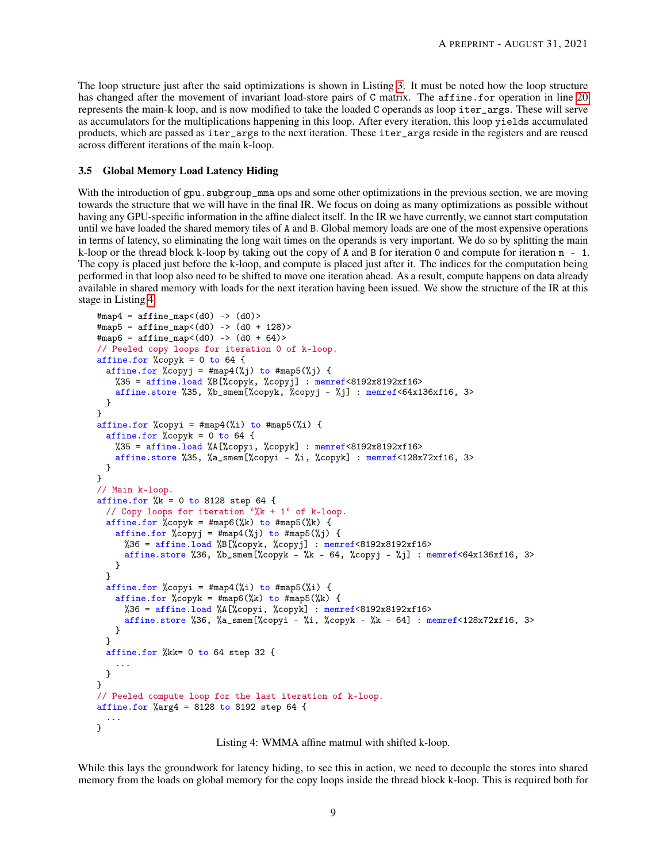The loop structure just after the said optimizations is shown in Listing [3.](#page-7-0) It must be noted how the loop structure has changed after the movement of invariant load-store pairs of C matrix. The affine.for operation in line [20](#page-7-1) represents the main-k loop, and is now modified to take the loaded C operands as loop iter\_args. These will serve as accumulators for the multiplications happening in this loop. After every iteration, this loop yields accumulated products, which are passed as iter\_args to the next iteration. These iter\_args reside in the registers and are reused across different iterations of the main k-loop.

#### <span id="page-8-1"></span>3.5 Global Memory Load Latency Hiding

With the introduction of gpu. subgroup\_mma ops and some other optimizations in the previous section, we are moving towards the structure that we will have in the final IR. We focus on doing as many optimizations as possible without having any GPU-specific information in the affine dialect itself. In the IR we have currently, we cannot start computation until we have loaded the shared memory tiles of A and B. Global memory loads are one of the most expensive operations in terms of latency, so eliminating the long wait times on the operands is very important. We do so by splitting the main k-loop or the thread block k-loop by taking out the copy of A and B for iteration 0 and compute for iteration  $n - 1$ . The copy is placed just before the k-loop, and compute is placed just after it. The indices for the computation being performed in that loop also need to be shifted to move one iteration ahead. As a result, compute happens on data already available in shared memory with loads for the next iteration having been issued. We show the structure of the IR at this stage in Listing [4.](#page-8-0)

```
\text{\#map4} = \text{affine\_map}((d0) \rightarrow (d0)\text{#map5} = \text{affine\_map}((d0) -> (d0 + 128))\text{#map6} = \text{affine\_map}((d0) -> (d0 + 64))// Peeled copy loops for iteration 0 of k-loop.
affine.for \%copyk = 0 to 64 {
  affine.for \sqrt[k]{\text{copyj}} = \text{#map4}(\%) to \text{#map5}(\%) {
    %35 = affine.load %B[%copyk, %copyj] : memref<8192x8192xf16>
    affine.store %35, %b_smem[%copyk, %copyj - %j] : memref<64x136xf16, 3>
 }
}
affine.for %copyi = \text{#map4}(%i) to \text{#map5}(%i) {
  affine.for %copyk = 0 to 64 {
    %35 = affine.load %A[%copyi, %copyk] : memref<8192x8192xf16>
    affine.store %35, %a_smem[%copyi - %i, %copyk] : memref<128x72xf16, 3>
  }
}
// Main k-loop.
affine.for \frac{6}{16} = 0 to 8128 step 64 {
  // Copy loops for iteration \frac{1}{k} + 1 of k-loop.
  affine.for \text{\%copyk} = \text{\#map6}(\text{\%k}) to \text{\#map5}(\text{\%k}) {
    affine.for %copyj = \text{#map4}(\%)j) to \text{#map5}(\%)] {
      %36 = affine.load %B[%copyk, %copyj] : memref<8192x8192xf16>
      affine.store %36, %b_smem[%copyk - %k - 64, %copyj - %j] : memref<64x136xf16, 3>
    }
  }
  affine.for %copyi = \text{#map4}(%i) to \text{#map5}(%i) {
    affine.for \sqrt[k]{\text{copyk}} = \frac{\text{temp6}(\sqrt[k]{k})}{\text{top4}} to \frac{\text{temp5}(\sqrt[k]{k})}{\text{min4}}%36 = affine.load %A[%copyi, %copyk] : memref<8192x8192xf16>
      affine.store %36, %a_smem[%copyi - %i, %copyk - %k - 64] : memref<128x72xf16, 3>
    }
  }
  affine.for %kk= 0 to 64 step 32 {
    ...
  }
}
// Peeled compute loop for the last iteration of k-loop.
affine.for %arg4 = 8128 to 8192 step 64 {
  ...
}
```
Listing 4: WMMA affine matmul with shifted k-loop.

While this lays the groundwork for latency hiding, to see this in action, we need to decouple the stores into shared memory from the loads on global memory for the copy loops inside the thread block k-loop. This is required both for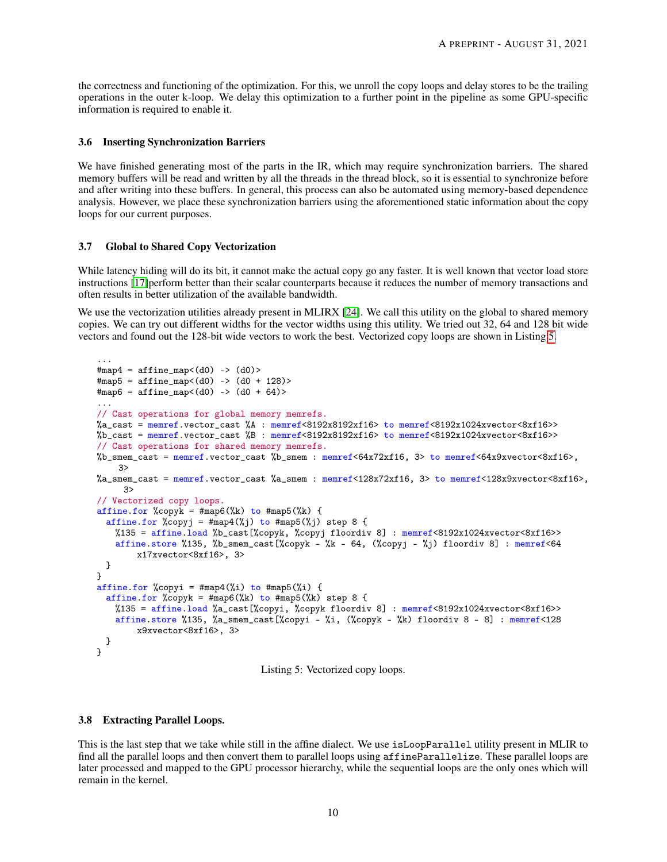the correctness and functioning of the optimization. For this, we unroll the copy loops and delay stores to be the trailing operations in the outer k-loop. We delay this optimization to a further point in the pipeline as some GPU-specific information is required to enable it.

#### 3.6 Inserting Synchronization Barriers

We have finished generating most of the parts in the IR, which may require synchronization barriers. The shared memory buffers will be read and written by all the threads in the thread block, so it is essential to synchronize before and after writing into these buffers. In general, this process can also be automated using memory-based dependence analysis. However, we place these synchronization barriers using the aforementioned static information about the copy loops for our current purposes.

#### 3.7 Global to Shared Copy Vectorization

While latency hiding will do its bit, it cannot make the actual copy go any faster. It is well known that vector load store instructions [\[17\]](#page-15-9)perform better than their scalar counterparts because it reduces the number of memory transactions and often results in better utilization of the available bandwidth.

We use the vectorization utilities already present in MLIRX [\[24\]](#page-15-10). We call this utility on the global to shared memory copies. We can try out different widths for the vector widths using this utility. We tried out 32, 64 and 128 bit wide vectors and found out the 128-bit wide vectors to work the best. Vectorized copy loops are shown in Listing [5.](#page-9-0)

```
...
#map4 = affine_map<(d0) -> (d0)>
\text{#map5} = \text{affine\_map} < \text{(d0)} \rightarrow \text{(d0 + 128)}\#map6 = affine\_map<(d0) -> (d0 + 64)...
// Cast operations for global memory memrefs.
%a_cast = memref.vector_cast %A : memref<8192x8192xf16> to memref<8192x1024xvector<8xf16>>
%b_cast = memref.vector_cast %B : memref<8192x8192xf16> to memref<8192x1024xvector<8xf16>>
// Cast operations for shared memory memrefs.
%b_smem_cast = memref.vector_cast %b_smem : memref<64x72xf16, 3> to memref<64x9xvector<8xf16>,
    3>
%a_smem_cast = memref.vector_cast %a_smem : memref<128x72xf16, 3> to memref<128x9xvector<8xf16>,
     3>
// Vectorized copy loops.
affine.for \text{\%copyk} = \text{\#map6}(\text{\%k}) to \text{\#map5}(\text{\%k}) {
  affine.for \text{\%copyj} = \text{\#map4}(\%) to \text{\#map5}(\%) step 8 {
    %135 = affine.load %b_cast[%copyk, %copyj floordiv 8] : memref<8192x1024xvector<8xf16>>
    affine.store %135, %b_smem_cast[%copyk - %k - 64, (%copyj - %j) floordiv 8] : memref <64
        x17xvector<8xf16>, 3>
  }
}
affine.for \text{\%copyi} = \text{\#map4}(\text{\%i}) to \text{\#map5}(\text{\%i}) {
  affine.for \chicopyk = #map6(\chik) to #map5(\chik) step 8 {
    %135 = affine.load %a_cast[%copyi, %copyk floordiv 8] : memref<8192x1024xvector<8xf16>>
    affine.store %135, %a_smem_cast[%copyi - %i, (%copyk - %k) floordiv 8 - 8] : memref<128
        x9xvector<8xf16>, 3>
 }
}
```
Listing 5: Vectorized copy loops.

#### 3.8 Extracting Parallel Loops.

This is the last step that we take while still in the affine dialect. We use isLoopParallel utility present in MLIR to find all the parallel loops and then convert them to parallel loops using affineParallelize. These parallel loops are later processed and mapped to the GPU processor hierarchy, while the sequential loops are the only ones which will remain in the kernel.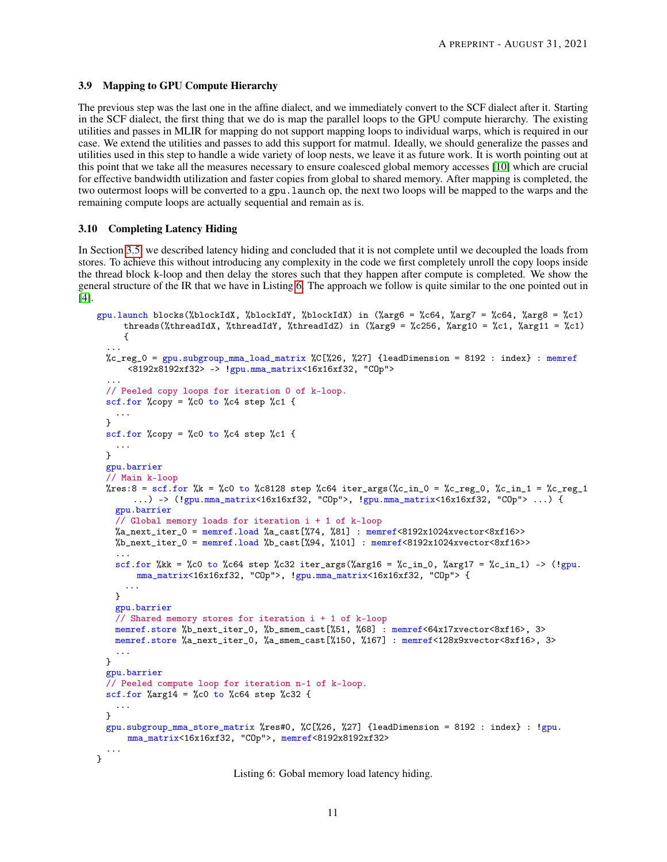#### 3.9 Mapping to GPU Compute Hierarchy

The previous step was the last one in the affine dialect, and we immediately convert to the SCF dialect after it. Starting in the SCF dialect, the first thing that we do is map the parallel loops to the GPU compute hierarchy. The existing utilities and passes in MLIR for mapping do not support mapping loops to individual warps, which is required in our case. We extend the utilities and passes to add this support for matmul. Ideally, we should generalize the passes and utilities used in this step to handle a wide variety of loop nests, we leave it as future work. It is worth pointing out at this point that we take all the measures necessary to ensure coalesced global memory accesses [\[10\]](#page-14-11) which are crucial for effective bandwidth utilization and faster copies from global to shared memory. After mapping is completed, the two outermost loops will be converted to a gpu.launch op, the next two loops will be mapped to the warps and the remaining compute loops are actually sequential and remain as is.

#### 3.10 Completing Latency Hiding

In Section [3.5,](#page-8-1) we described latency hiding and concluded that it is not complete until we decoupled the loads from stores. To achieve this without introducing any complexity in the code we first completely unroll the copy loops inside the thread block k-loop and then delay the stores such that they happen after compute is completed. We show the general structure of the IR that we have in Listing [6.](#page-10-0) The approach we follow is quite similar to the one pointed out in [\[4\]](#page-14-3).

```
gpu.launch blocks(%blockIdX, %blockIdY, %blockIdX) in (%arg6 = %c64, %arg7 = %c64, %arg8 = %c1)
      threads(%threadIdX, %threadIdY, %threadIdZ) in (\text{Karg9} = \text{Kc256}, \text{Karg10} = \text{Kc1}, \text{Karg11} = \text{Kc1}){
  ...
  %c_reg_0 = gpu.subgroup_mma_load_matrix %C[%26, %27] {leadDimension = 8192 : index} : memref
       <8192x8192xf32> -> !gpu.mma_matrix<16x16xf32, "COp">
  ...
  // Peeled copy loops for iteration 0 of k-loop.
  scf.for \text{\%copy} = \text{\%c0 to }\text{\%c4 step }\text{\%c1} {
    ...
  }
  scf.for \text{\%copy} = \text{\%c0 to }\text{\%c4 step }\text{\%c1} {
   ...
  }
  gpu.barrier
  // Main k-loop
  %res:8 = scf.for %k = %c0 to %c8128 step %c64 iter_args(%c_in_0 = %c_reg_0, %c_in_1 = %c_reg_1
        ...) -> (1_{gpu \text{ mma} \text{ matrix}} \times 16x16x132, "C0p" >, 1_{gpu \text{ mma} \text{ matrix}} \times 16x16x132, "C0p" > ...)gpu.barrier
    // Global memory loads for iteration i + 1 of k-loop
    %a_next_iter_0 = memref.load %a_cast[%74, %81] : memref<8192x1024xvector<8xf16>>
    %b_nnext_iter_0 = memref.load b_ncast[\%94, \frac{101}{101} : memref<8192x1024xvector<8xf16>>
    ...
    scf.for k = \binom{0}{0} to \binom{0}{0} step \binom{0}{0} iter_args(\binom{0}{0} arg16 = \binom{0}{0} \binom{0}{0} arg17 = \binom{0}{0} \binom{0}{0} \binom{0}{0}mma_matrix<16x16xf32, "COp">, !gpu.mma_matrix<16x16xf32, "COp"> {
      ...
    }
    gpu.barrier
    // Shared memory stores for iteration i + 1 of k-loop
    memref.store %b_next_iter_0, %b_smem_cast[%51, %68] : memref<64x17xvector<8xf16>, 3>
    memref.store %a_next_iter_0, %a_smem_cast[%150, %167] : memref<128x9xvector<8xf16>, 3>
    ...
  }
  gpu.barrier
  // Peeled compute loop for iteration n-1 of k-loop.
  scf.for \text{\%arg14} = \text{\%c0 to } \text{\%c64 step } \text{\%c32 f}...
  }
  gpu.subgroup_mma_store_matrix %res#0, %C[%26, %27] {leadDimension = 8192 : index} : !gpu.
       mma_matrix<16x16xf32, "COp">, memref<8192x8192xf32>
  ...
}
```
Listing 6: Gobal memory load latency hiding.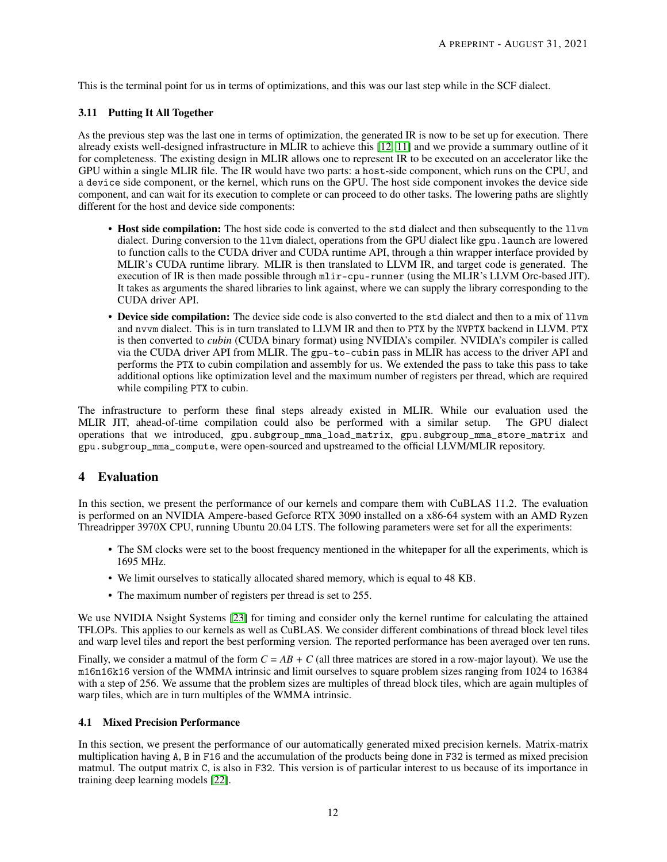This is the terminal point for us in terms of optimizations, and this was our last step while in the SCF dialect.

## 3.11 Putting It All Together

As the previous step was the last one in terms of optimization, the generated IR is now to be set up for execution. There already exists well-designed infrastructure in MLIR to achieve this [\[12,](#page-14-10) [11\]](#page-14-9) and we provide a summary outline of it for completeness. The existing design in MLIR allows one to represent IR to be executed on an accelerator like the GPU within a single MLIR file. The IR would have two parts: a host-side component, which runs on the CPU, and a device side component, or the kernel, which runs on the GPU. The host side component invokes the device side component, and can wait for its execution to complete or can proceed to do other tasks. The lowering paths are slightly different for the host and device side components:

- Host side compilation: The host side code is converted to the std dialect and then subsequently to the 11 $v$ m dialect. During conversion to the llvm dialect, operations from the GPU dialect like gpu.launch are lowered to function calls to the CUDA driver and CUDA runtime API, through a thin wrapper interface provided by MLIR's CUDA runtime library. MLIR is then translated to LLVM IR, and target code is generated. The execution of IR is then made possible through mlir-cpu-runner (using the MLIR's LLVM Orc-based JIT). It takes as arguments the shared libraries to link against, where we can supply the library corresponding to the CUDA driver API.
- Device side compilation: The device side code is also converted to the std dialect and then to a mix of llvm and nvvm dialect. This is in turn translated to LLVM IR and then to PTX by the NVPTX backend in LLVM. PTX is then converted to *cubin* (CUDA binary format) using NVIDIA's compiler. NVIDIA's compiler is called via the CUDA driver API from MLIR. The gpu-to-cubin pass in MLIR has access to the driver API and performs the PTX to cubin compilation and assembly for us. We extended the pass to take this pass to take additional options like optimization level and the maximum number of registers per thread, which are required while compiling PTX to cubin.

The infrastructure to perform these final steps already existed in MLIR. While our evaluation used the MLIR JIT, ahead-of-time compilation could also be performed with a similar setup. The GPU dialect operations that we introduced, gpu.subgroup\_mma\_load\_matrix, gpu.subgroup\_mma\_store\_matrix and gpu.subgroup\_mma\_compute, were open-sourced and upstreamed to the official LLVM/MLIR repository.

# 4 Evaluation

In this section, we present the performance of our kernels and compare them with CuBLAS 11.2. The evaluation is performed on an NVIDIA Ampere-based Geforce RTX 3090 installed on a x86-64 system with an AMD Ryzen Threadripper 3970X CPU, running Ubuntu 20.04 LTS. The following parameters were set for all the experiments:

- The SM clocks were set to the boost frequency mentioned in the whitepaper for all the experiments, which is 1695 MHz.
- We limit ourselves to statically allocated shared memory, which is equal to 48 KB.
- The maximum number of registers per thread is set to 255.

We use NVIDIA Nsight Systems [\[23\]](#page-15-11) for timing and consider only the kernel runtime for calculating the attained TFLOPs. This applies to our kernels as well as CuBLAS. We consider different combinations of thread block level tiles and warp level tiles and report the best performing version. The reported performance has been averaged over ten runs.

Finally, we consider a matmul of the form  $C = AB + C$  (all three matrices are stored in a row-major layout). We use the m16n16k16 version of the WMMA intrinsic and limit ourselves to square problem sizes ranging from 1024 to 16384 with a step of 256. We assume that the problem sizes are multiples of thread block tiles, which are again multiples of warp tiles, which are in turn multiples of the WMMA intrinsic.

## 4.1 Mixed Precision Performance

In this section, we present the performance of our automatically generated mixed precision kernels. Matrix-matrix multiplication having A, B in F16 and the accumulation of the products being done in F32 is termed as mixed precision matmul. The output matrix C, is also in F32. This version is of particular interest to us because of its importance in training deep learning models [\[22\]](#page-15-12).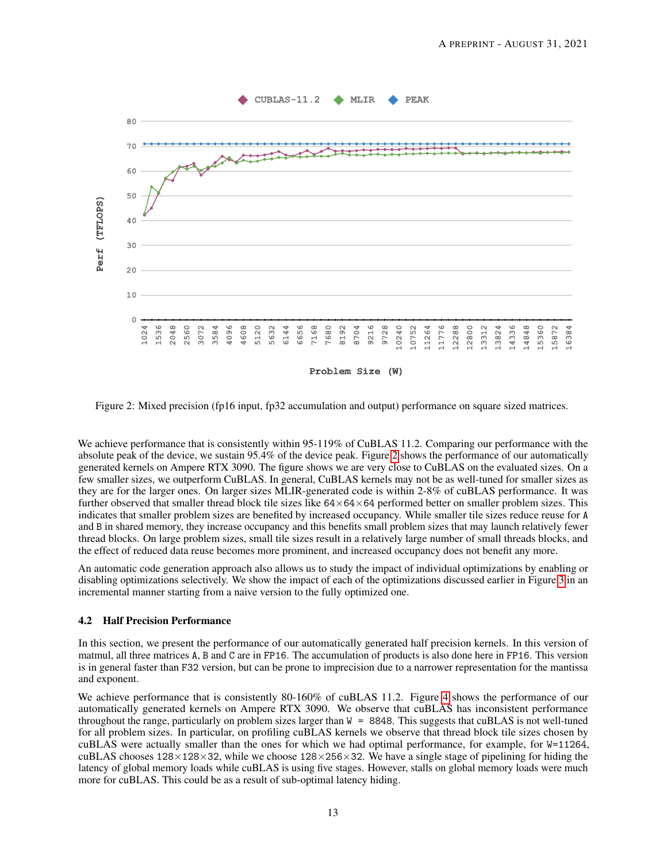<span id="page-12-0"></span>

Figure 2: Mixed precision (fp16 input, fp32 accumulation and output) performance on square sized matrices.

We achieve performance that is consistently within 95-119% of CuBLAS 11.2. Comparing our performance with the absolute peak of the device, we sustain 95.4% of the device peak. Figure [2](#page-12-0) shows the performance of our automatically generated kernels on Ampere RTX 3090. The figure shows we are very close to CuBLAS on the evaluated sizes. On a few smaller sizes, we outperform CuBLAS. In general, CuBLAS kernels may not be as well-tuned for smaller sizes as they are for the larger ones. On larger sizes MLIR-generated code is within 2-8% of cuBLAS performance. It was further observed that smaller thread block tile sizes like 64×64×64 performed better on smaller problem sizes. This indicates that smaller problem sizes are benefited by increased occupancy. While smaller tile sizes reduce reuse for A and B in shared memory, they increase occupancy and this benefits small problem sizes that may launch relatively fewer thread blocks. On large problem sizes, small tile sizes result in a relatively large number of small threads blocks, and the effect of reduced data reuse becomes more prominent, and increased occupancy does not benefit any more.

An automatic code generation approach also allows us to study the impact of individual optimizations by enabling or disabling optimizations selectively. We show the impact of each of the optimizations discussed earlier in Figure [3](#page-13-3) in an incremental manner starting from a naive version to the fully optimized one.

#### 4.2 Half Precision Performance

In this section, we present the performance of our automatically generated half precision kernels. In this version of matmul, all three matrices A, B and C are in FP16. The accumulation of products is also done here in FP16. This version is in general faster than F32 version, but can be prone to imprecision due to a narrower representation for the mantissa and exponent.

We achieve performance that is consistently 80-160% of cuBLAS 11.2. Figure [4](#page-14-12) shows the performance of our automatically generated kernels on Ampere RTX 3090. We observe that cuBLAS has inconsistent performance throughout the range, particularly on problem sizes larger than  $W = 8848$ . This suggests that cuBLAS is not well-tuned for all problem sizes. In particular, on profiling cuBLAS kernels we observe that thread block tile sizes chosen by cuBLAS were actually smaller than the ones for which we had optimal performance, for example, for W=11264, cuBLAS chooses  $128 \times 128 \times 32$ , while we choose  $128 \times 256 \times 32$ . We have a single stage of pipelining for hiding the latency of global memory loads while cuBLAS is using five stages. However, stalls on global memory loads were much more for cuBLAS. This could be as a result of sub-optimal latency hiding.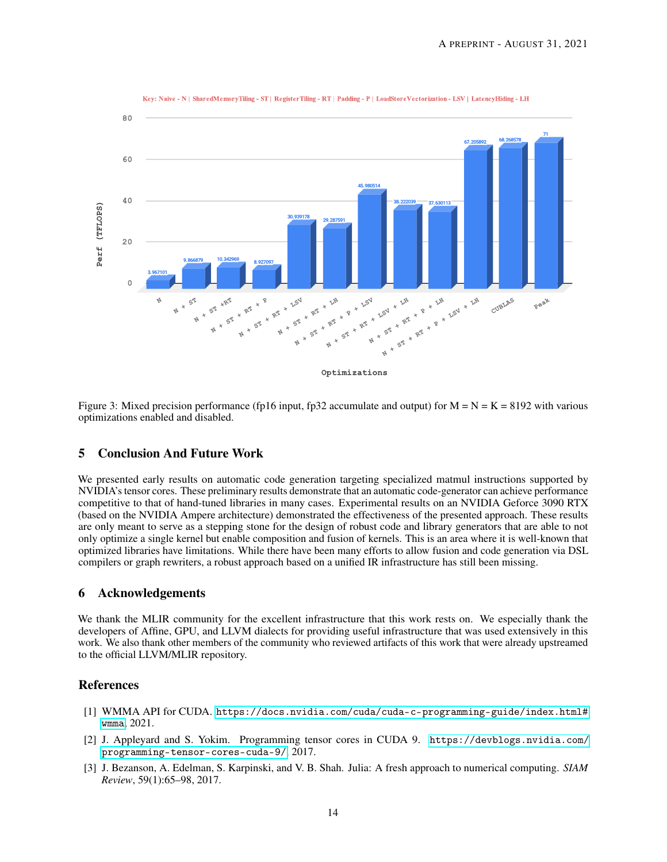<span id="page-13-3"></span>

Figure 3: Mixed precision performance (fp16 input, fp32 accumulate and output) for  $M = N = K = 8192$  with various optimizations enabled and disabled.

## 5 Conclusion And Future Work

We presented early results on automatic code generation targeting specialized matmul instructions supported by NVIDIA's tensor cores. These preliminary results demonstrate that an automatic code-generator can achieve performance competitive to that of hand-tuned libraries in many cases. Experimental results on an NVIDIA Geforce 3090 RTX (based on the NVIDIA Ampere architecture) demonstrated the effectiveness of the presented approach. These results are only meant to serve as a stepping stone for the design of robust code and library generators that are able to not only optimize a single kernel but enable composition and fusion of kernels. This is an area where it is well-known that optimized libraries have limitations. While there have been many efforts to allow fusion and code generation via DSL compilers or graph rewriters, a robust approach based on a unified IR infrastructure has still been missing.

## 6 Acknowledgements

We thank the MLIR community for the excellent infrastructure that this work rests on. We especially thank the developers of Affine, GPU, and LLVM dialects for providing useful infrastructure that was used extensively in this work. We also thank other members of the community who reviewed artifacts of this work that were already upstreamed to the official LLVM/MLIR repository.

## References

- <span id="page-13-2"></span>[1] WMMA API for CUDA. [https://docs.nvidia.com/cuda/cuda-c-programming-guide/index.html#](https://docs.nvidia.com/cuda/cuda-c-programming-guide/index.html#wmma) [wmma](https://docs.nvidia.com/cuda/cuda-c-programming-guide/index.html#wmma), 2021.
- <span id="page-13-1"></span>[2] J. Appleyard and S. Yokim. Programming tensor cores in CUDA 9. [https://devblogs.nvidia.com/](https://devblogs.nvidia.com/programming-tensor-cores-cuda-9/) [programming-tensor-cores-cuda-9/](https://devblogs.nvidia.com/programming-tensor-cores-cuda-9/), 2017.
- <span id="page-13-0"></span>[3] J. Bezanson, A. Edelman, S. Karpinski, and V. B. Shah. Julia: A fresh approach to numerical computing. *SIAM Review*, 59(1):65–98, 2017.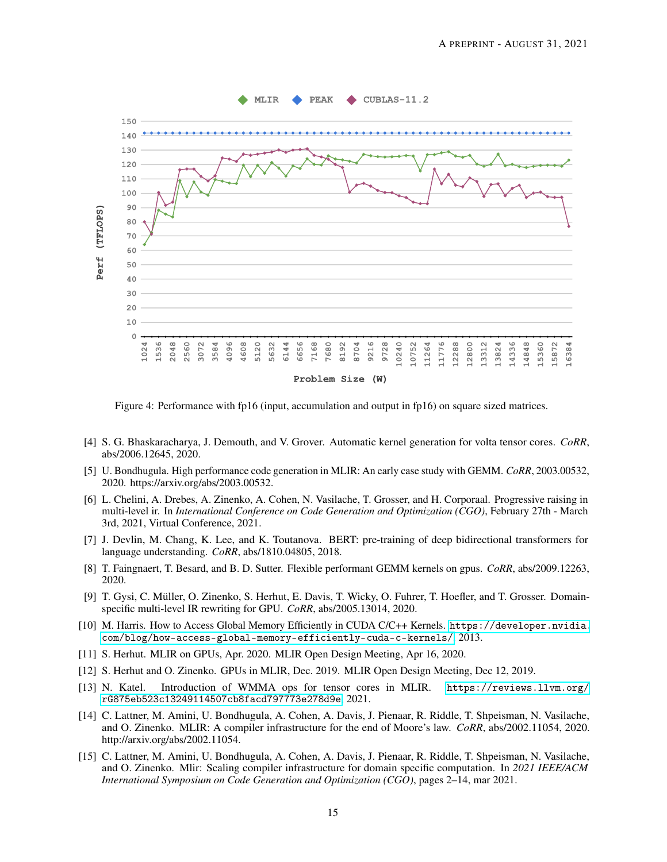<span id="page-14-12"></span>

Figure 4: Performance with fp16 (input, accumulation and output in fp16) on square sized matrices.

- <span id="page-14-3"></span>[4] S. G. Bhaskaracharya, J. Demouth, and V. Grover. Automatic kernel generation for volta tensor cores. *CoRR*, abs/2006.12645, 2020.
- <span id="page-14-5"></span>[5] U. Bondhugula. High performance code generation in MLIR: An early case study with GEMM. *CoRR*, 2003.00532, 2020. https://arxiv.org/abs/2003.00532.
- <span id="page-14-8"></span>[6] L. Chelini, A. Drebes, A. Zinenko, A. Cohen, N. Vasilache, T. Grosser, and H. Corporaal. Progressive raising in multi-level ir. In *International Conference on Code Generation and Optimization (CGO)*, February 27th - March 3rd, 2021, Virtual Conference, 2021.
- <span id="page-14-1"></span>[7] J. Devlin, M. Chang, K. Lee, and K. Toutanova. BERT: pre-training of deep bidirectional transformers for language understanding. *CoRR*, abs/1810.04805, 2018.
- <span id="page-14-2"></span>[8] T. Faingnaert, T. Besard, and B. D. Sutter. Flexible performant GEMM kernels on gpus. *CoRR*, abs/2009.12263, 2020.
- <span id="page-14-7"></span>[9] T. Gysi, C. Müller, O. Zinenko, S. Herhut, E. Davis, T. Wicky, O. Fuhrer, T. Hoefler, and T. Grosser. Domainspecific multi-level IR rewriting for GPU. *CoRR*, abs/2005.13014, 2020.
- <span id="page-14-11"></span>[10] M. Harris. How to Access Global Memory Efficiently in CUDA C/C++ Kernels. [https://developer.nvidia.](https://developer.nvidia.com/blog/how-access-global-memory-efficiently-cuda-c-kernels/) [com/blog/how-access-global-memory-efficiently-cuda-c-kernels/](https://developer.nvidia.com/blog/how-access-global-memory-efficiently-cuda-c-kernels/), 2013.
- <span id="page-14-9"></span>[11] S. Herhut. MLIR on GPUs, Apr. 2020. MLIR Open Design Meeting, Apr 16, 2020.
- <span id="page-14-10"></span>[12] S. Herhut and O. Zinenko. GPUs in MLIR, Dec. 2019. MLIR Open Design Meeting, Dec 12, 2019.
- <span id="page-14-6"></span>[13] N. Katel. Introduction of WMMA ops for tensor cores in MLIR. [https://reviews.llvm.org/](https://reviews.llvm.org/rG875eb523c13249114507cb8facd797773e278d9e) [rG875eb523c13249114507cb8facd797773e278d9e](https://reviews.llvm.org/rG875eb523c13249114507cb8facd797773e278d9e), 2021.
- <span id="page-14-0"></span>[14] C. Lattner, M. Amini, U. Bondhugula, A. Cohen, A. Davis, J. Pienaar, R. Riddle, T. Shpeisman, N. Vasilache, and O. Zinenko. MLIR: A compiler infrastructure for the end of Moore's law. *CoRR*, abs/2002.11054, 2020. http://arxiv.org/abs/2002.11054.
- <span id="page-14-4"></span>[15] C. Lattner, M. Amini, U. Bondhugula, A. Cohen, A. Davis, J. Pienaar, R. Riddle, T. Shpeisman, N. Vasilache, and O. Zinenko. Mlir: Scaling compiler infrastructure for domain specific computation. In *2021 IEEE/ACM International Symposium on Code Generation and Optimization (CGO)*, pages 2–14, mar 2021.